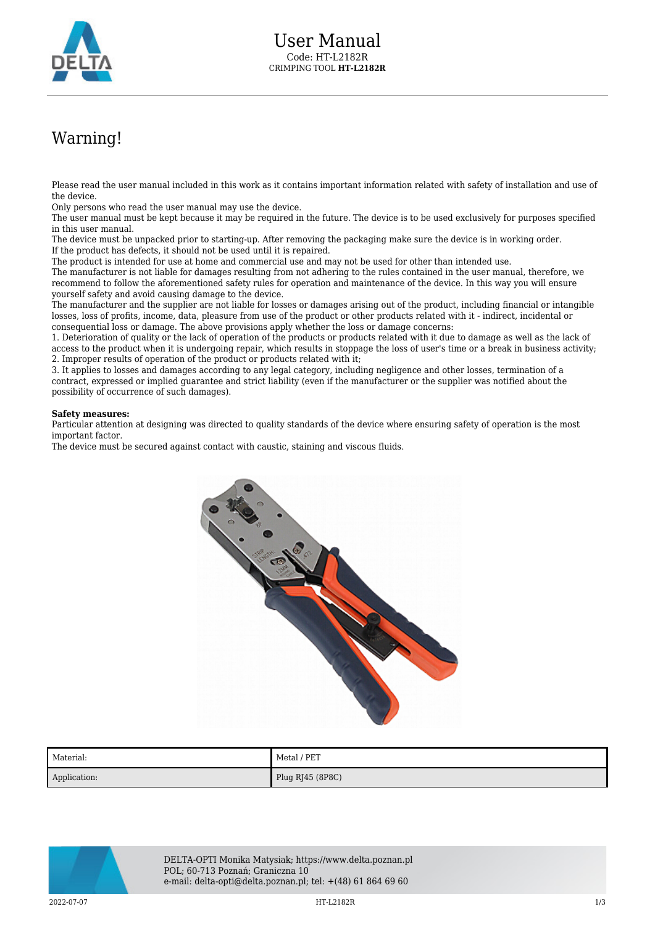

## Warning!

Please read the user manual included in this work as it contains important information related with safety of installation and use of the device.

Only persons who read the user manual may use the device.

The user manual must be kept because it may be required in the future. The device is to be used exclusively for purposes specified in this user manual.

The device must be unpacked prior to starting-up. After removing the packaging make sure the device is in working order. If the product has defects, it should not be used until it is repaired.

The product is intended for use at home and commercial use and may not be used for other than intended use.

The manufacturer is not liable for damages resulting from not adhering to the rules contained in the user manual, therefore, we recommend to follow the aforementioned safety rules for operation and maintenance of the device. In this way you will ensure yourself safety and avoid causing damage to the device.

The manufacturer and the supplier are not liable for losses or damages arising out of the product, including financial or intangible losses, loss of profits, income, data, pleasure from use of the product or other products related with it - indirect, incidental or consequential loss or damage. The above provisions apply whether the loss or damage concerns:

1. Deterioration of quality or the lack of operation of the products or products related with it due to damage as well as the lack of access to the product when it is undergoing repair, which results in stoppage the loss of user's time or a break in business activity; 2. Improper results of operation of the product or products related with it;

3. It applies to losses and damages according to any legal category, including negligence and other losses, termination of a contract, expressed or implied guarantee and strict liability (even if the manufacturer or the supplier was notified about the possibility of occurrence of such damages).

## **Safety measures:**

Particular attention at designing was directed to quality standards of the device where ensuring safety of operation is the most important factor.

The device must be secured against contact with caustic, staining and viscous fluids.



| Material:    | Metal / PET      |
|--------------|------------------|
| Application: | Plug RJ45 (8P8C) |



DELTA-OPTI Monika Matysiak; https://www.delta.poznan.pl POL; 60-713 Poznań; Graniczna 10 e-mail: delta-opti@delta.poznan.pl; tel: +(48) 61 864 69 60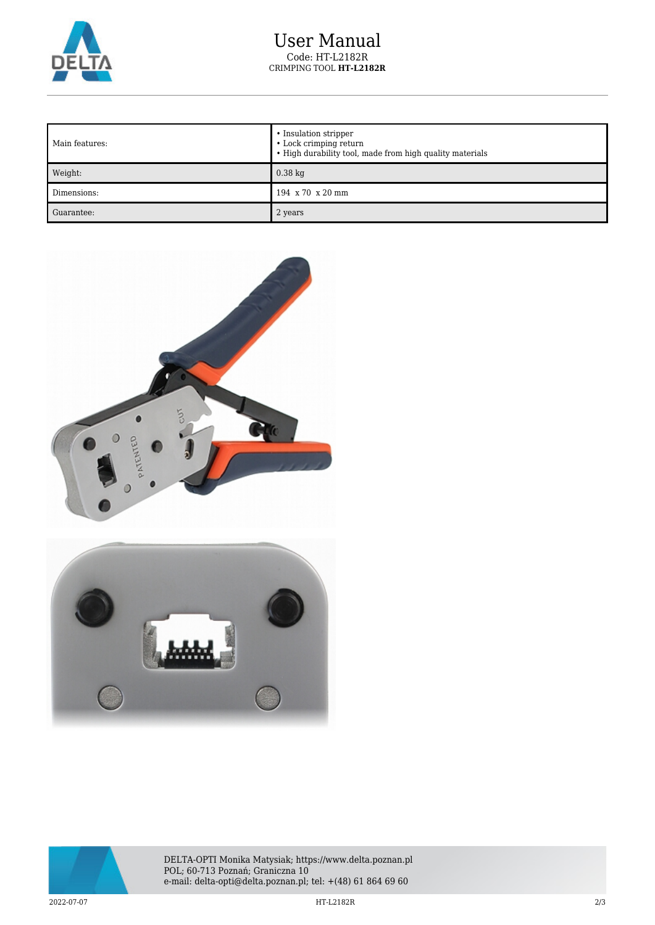

## User Manual Code: HT-L2182R CRIMPING TOOL **HT-L2182R**

| Main features: | • Insulation stripper<br>• Lock crimping return<br>• High durability tool, made from high quality materials |
|----------------|-------------------------------------------------------------------------------------------------------------|
| Weight:        | $0.38$ kg                                                                                                   |
| Dimensions:    | 194 x 70 x 20 mm                                                                                            |
| Guarantee:     | 2 years                                                                                                     |





DELTA-OPTI Monika Matysiak; https://www.delta.poznan.pl POL; 60-713 Poznań; Graniczna 10 e-mail: delta-opti@delta.poznan.pl; tel: +(48) 61 864 69 60

2022-07-07 HT-L2182R 2/3